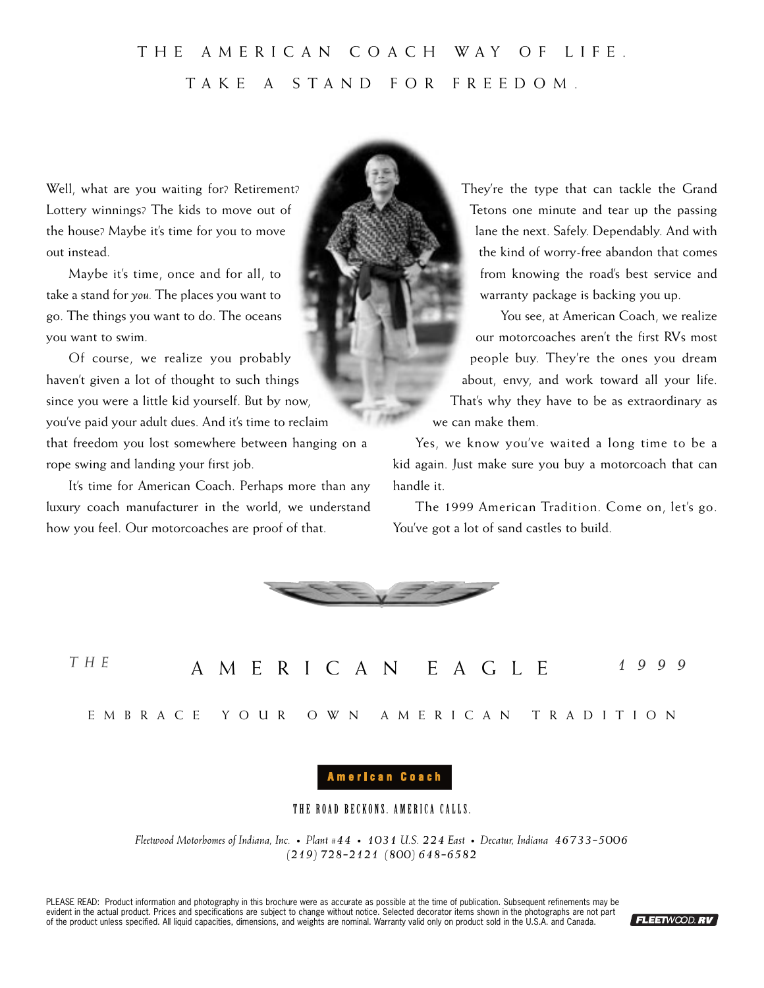# THE AMERICAN COACH WAY OF LIFE. TAKE A STAND FOR FREEDOM.

Well, what are you waiting for? Retirement? Lottery winnings? The kids to move out of the house? Maybe it's time for you to move out instead.

Maybe it's time, once and for all, to take a stand for *you.* The places you want to go. The things you want to do. The oceans you want to swim.

Of course, we realize you probably haven't given a lot of thought to such things since you were a little kid yourself. But by now, you've paid your adult dues. And it's time to reclaim that freedom you lost somewhere between hanging on a rope swing and landing your first job.

It's time for American Coach. Perhaps more than any luxury coach manufacturer in the world, we understand how you feel. Our motorcoaches are proof of that.

They're the type that can tackle the Grand Tetons one minute and tear up the passing lane the next. Safely. Dependably. And with the kind of worry-free abandon that comes from knowing the road's best service and warranty package is backing you up.

You see, at American Coach, we realize our motorcoaches aren't the first RVs most people buy. They're the ones you dream about, envy, and work toward all your life. That's why they have to be as extraordinary as we can make them.

Yes, we know you've waited a long time to be a kid again. Just make sure you buy a motorcoach that can handle it.

The 1999 American Tradition. Come on, let's go. You've got a lot of sand castles to build.



AMERICAN EAGLE *THE 1999*

EMBRACE YOUR OWN AMERICAN TRADITION

# American Coach

# THE ROAD BECKONS. AMERICA CALLS.

*Fleetwood Motorhomes of Indiana, Inc. • Plant #44 • 1031 U.S. 224 East • Decatur, Indiana 46733-5006 (219) 728-2121 (800) 648-6582*

PLEASE READ: Product information and photography in this brochure were as accurate as possible at the time of publication. Subsequent refinements may be evident in the actual product. Prices and specifications are subject to change without notice. Selected decorator items shown in the photographs are not part of the product unless specified. All liquid capacities, dimensions, and weights are nominal. Warranty valid only on product sold in the U.S.A. and Canada.

FLEETWOOD.RV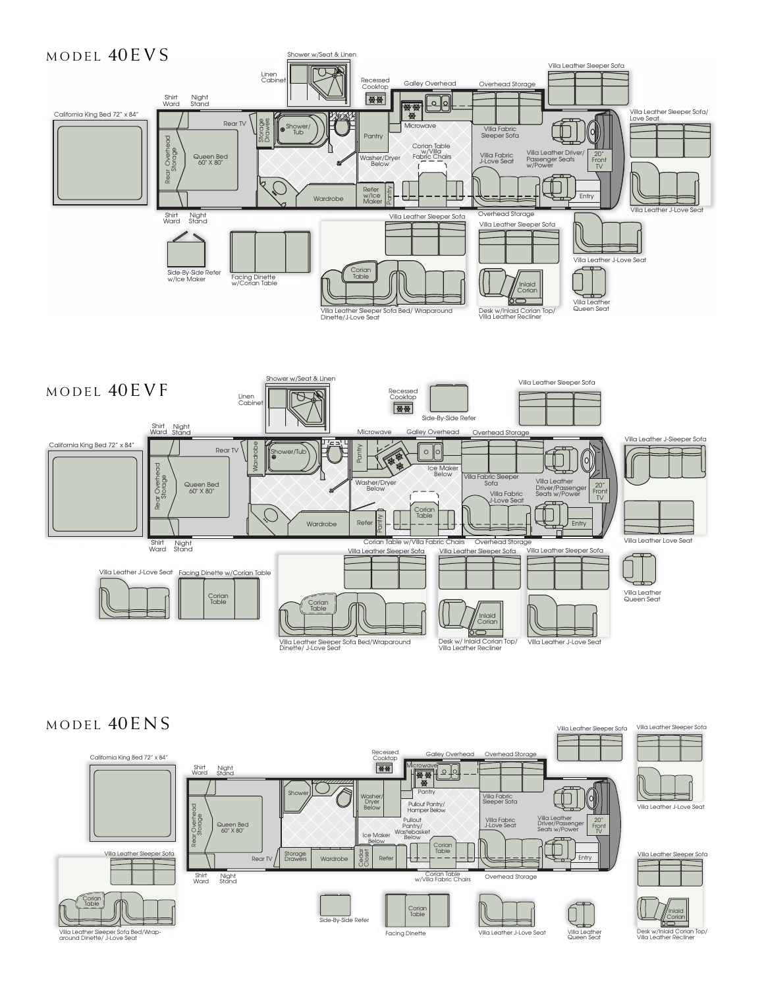



# MODEL  $40ENS$



Villa Leather Sle

Villa Leather Sle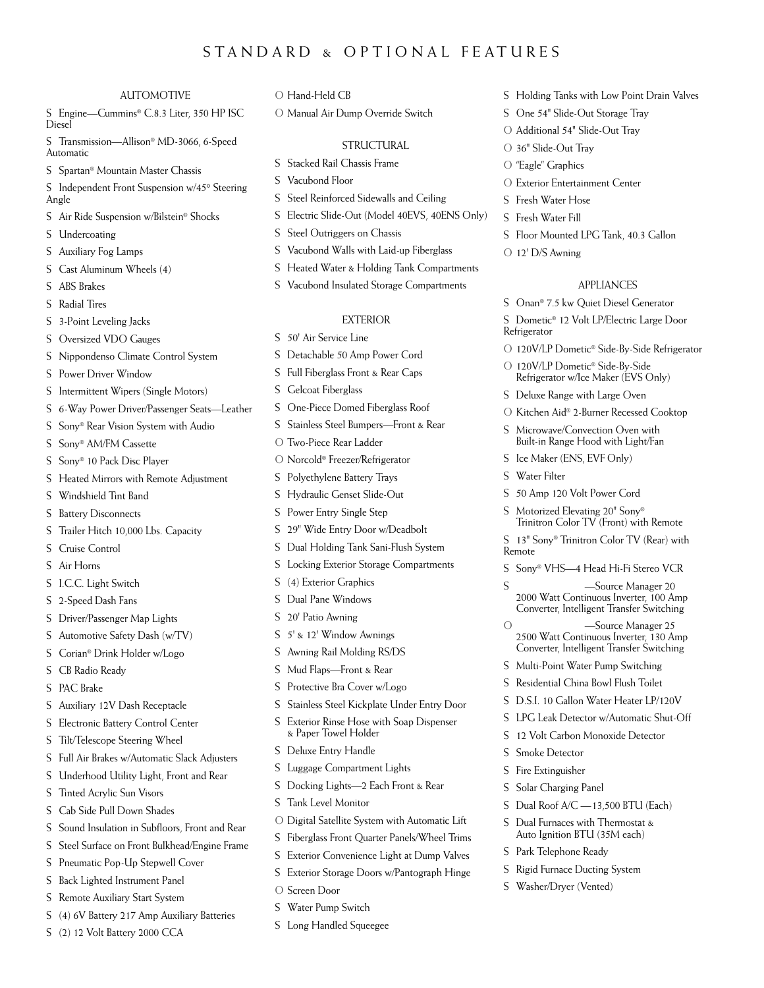# STANDARD & OPTIONAL FEATURES

#### AUTOMOTIVE

S Engine—Cummins® C.8.3 Liter, 350 HP ISC Diesel

S Transmission—Allison® MD-3066, 6-Speed Automatic

S Spartan® Mountain Master Chassis

S Independent Front Suspension w/45° Steering Angle

- S Air Ride Suspension w/Bilstein® Shocks
- S Undercoating
- S Auxiliary Fog Lamps
- S Cast Aluminum Wheels (4)
- S ABS Brakes
- S Radial Tires
- S 3-Point Leveling Jacks

S Oversized VDO Gauges

- S Nippondenso Climate Control System
- S Power Driver Window
- S Intermittent Wipers (Single Motors)
- S 6-Way Power Driver/Passenger Seats—Leather
- S Sony® Rear Vision System with Audio
- S Sony® AM/FM Cassette
- S Sony® 10 Pack Disc Player
- S Heated Mirrors with Remote Adjustment
- S Windshield Tint Band
- S Battery Disconnects
- S Trailer Hitch 10,000 Lbs. Capacity
- S Cruise Control
- S Air Horns
- S I.C.C. Light Switch
- S 2-Speed Dash Fans
- S Driver/Passenger Map Lights
- S Automotive Safety Dash (w/TV)
- S Corian® Drink Holder w/Logo
- S CB Radio Ready
- S PAC Brake
- S Auxiliary 12V Dash Receptacle
- S Electronic Battery Control Center
- S Tilt/Telescope Steering Wheel
- S Full Air Brakes w/Automatic Slack Adjusters
- S Underhood Utility Light, Front and Rear
- S Tinted Acrylic Sun Visors
- S Cab Side Pull Down Shades
- S Sound Insulation in Subfloors, Front and Rear
- S Steel Surface on Front Bulkhead/Engine Frame
- S Pneumatic Pop-Up Stepwell Cover
- S Back Lighted Instrument Panel
- S Remote Auxiliary Start System
- S (4) 6V Battery 217 Amp Auxiliary Batteries
- S (2) 12 Volt Battery 2000 CCA
- O Hand-Held CB
- O Manual Air Dump Override Switch

#### **STRUCTURAL**

- S Stacked Rail Chassis Frame
- S Vacubond Floor
- S Steel Reinforced Sidewalls and Ceiling
- S Electric Slide-Out (Model 40EVS, 40ENS Only)
- S Steel Outriggers on Chassis
- S Vacubond Walls with Laid-up Fiberglass
- S Heated Water & Holding Tank Compartments
- S Vacubond Insulated Storage Compartments

#### EXTERIOR

- S 50' Air Service Line
- S Detachable 50 Amp Power Cord
- S Full Fiberglass Front & Rear Caps
- S Gelcoat Fiberglass
- S One-Piece Domed Fiberglass Roof
- S Stainless Steel Bumpers—Front & Rear
- O Two-Piece Rear Ladder
- O Norcold® Freezer/Refrigerator
- S Polyethylene Battery Trays
- S Hydraulic Genset Slide-Out
- S Power Entry Single Step
- S 29" Wide Entry Door w/Deadbolt
- S Dual Holding Tank Sani-Flush System
- S Locking Exterior Storage Compartments
- S (4) Exterior Graphics
- S Dual Pane Windows
- S 20' Patio Awning
- S 5' & 12' Window Awnings
- S Awning Rail Molding RS/DS
- S Mud Flaps—Front & Rear
- S Protective Bra Cover w/Logo
- S Stainless Steel Kickplate Under Entry Door
- S Exterior Rinse Hose with Soap Dispenser & Paper Towel Holder
- S Deluxe Entry Handle
- S Luggage Compartment Lights
- S Docking Lights—2 Each Front & Rear
- S Tank Level Monitor
- O Digital Satellite System with Automatic Lift
- S Fiberglass Front Quarter Panels/Wheel Trims
- S Exterior Convenience Light at Dump Valves
- S Exterior Storage Doors w/Pantograph Hinge
- O Screen Door
- S Water Pump Switch
- S Long Handled Squeegee
- S Holding Tanks with Low Point Drain Valves
- S One 54" Slide-Out Storage Tray
- O Additional 54" Slide-Out Tray
- O 36" Slide-Out Tray

S Fresh Water Hose S Fresh Water Fill

O 12' D/S Awning

Refrigerator

S Water Filter

S Smoke Detector S Fire Extinguisher S Solar Charging Panel

S Park Telephone Ready S Rigid Furnace Ducting System S Washer/Dryer (Vented)

Remote

- O "Eagle" Graphics
- O Exterior Entertainment Center

S Floor Mounted LPG Tank, 40.3 Gallon

S Onan® 7.5 kw Quiet Diesel Generator S Dometic® 12 Volt LP/Electric Large Door

O 120V/LP Dometic® Side-By-Side Refrigerator w/Ice Maker (EVS Only) S Deluxe Range with Large Oven

S Ice Maker (ENS, EVF Only)

S 50 Amp 120 Volt Power Cord S Motorized Elevating 20" Sony®

APPLIANCES

O 120V/LP Dometic® Side-By-Side Refrigerator

O Kitchen Aid® 2-Burner Recessed Cooktop S Microwave/Convection Oven with Built-in Range Hood with Light/Fan

Trinitron Color TV (Front) with Remote 13" Sony® Trinitron Color TV (Rear) with

S Sony® VHS—4 Head Hi-Fi Stereo VCR S — Source Manager 20 2000 Watt Continuous Inverter, 100 Amp Converter, Intelligent Transfer Switching

2500 Watt Continuous Inverter, 130 Amp Converter, Intelligent Transfer Switching S Multi-Point Water Pump Switching S Residential China Bowl Flush Toilet S D.S.I. 10 Gallon Water Heater LP/120V S LPG Leak Detector w/Automatic Shut-Off S 12 Volt Carbon Monoxide Detector

S Dual Roof A/C —13,500 BTU (Each) S Dual Furnaces with Thermostat & Auto Ignition BTU (35M each)

-Source Manager 25